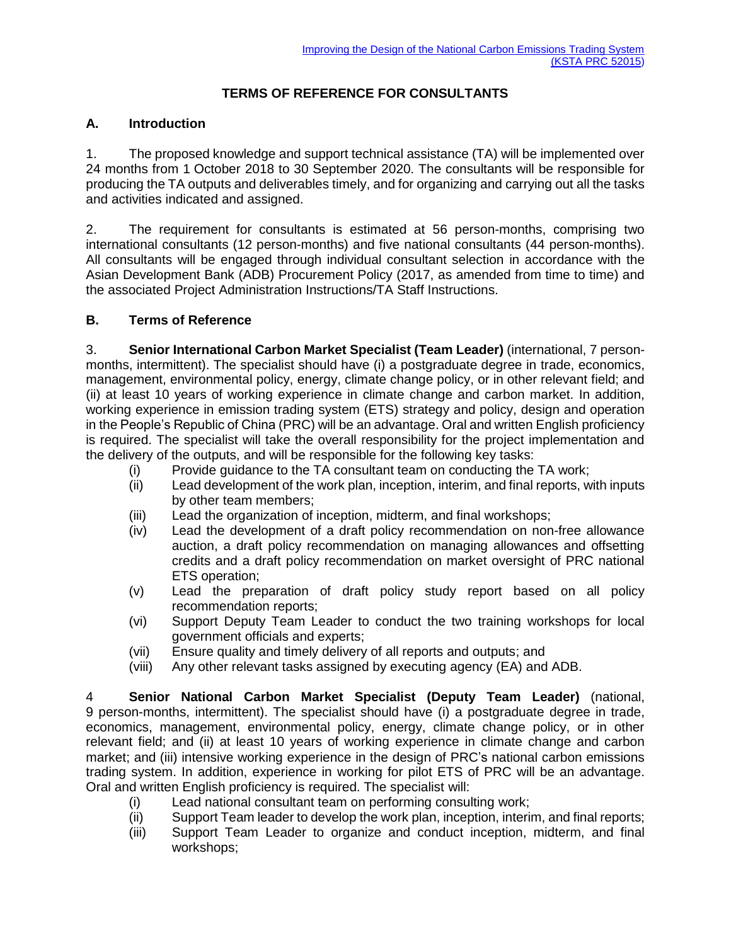## **TERMS OF REFERENCE FOR CONSULTANTS**

## **A. Introduction**

1. The proposed knowledge and support technical assistance (TA) will be implemented over 24 months from 1 October 2018 to 30 September 2020. The consultants will be responsible for producing the TA outputs and deliverables timely, and for organizing and carrying out all the tasks and activities indicated and assigned.

2. The requirement for consultants is estimated at 56 person-months, comprising two international consultants (12 person-months) and five national consultants (44 person-months). All consultants will be engaged through individual consultant selection in accordance with the Asian Development Bank (ADB) Procurement Policy (2017, as amended from time to time) and the associated Project Administration Instructions/TA Staff Instructions.

## **B. Terms of Reference**

3. **Senior International Carbon Market Specialist (Team Leader)** (international, 7 personmonths, intermittent). The specialist should have (i) a postgraduate degree in trade, economics, management, environmental policy, energy, climate change policy, or in other relevant field; and (ii) at least 10 years of working experience in climate change and carbon market. In addition, working experience in emission trading system (ETS) strategy and policy, design and operation in the People's Republic of China (PRC) will be an advantage. Oral and written English proficiency is required. The specialist will take the overall responsibility for the project implementation and the delivery of the outputs, and will be responsible for the following key tasks:

- (i) Provide guidance to the TA consultant team on conducting the TA work;
- (ii) Lead development of the work plan, inception, interim, and final reports, with inputs by other team members;
- (iii) Lead the organization of inception, midterm, and final workshops;
- (iv) Lead the development of a draft policy recommendation on non-free allowance auction, a draft policy recommendation on managing allowances and offsetting credits and a draft policy recommendation on market oversight of PRC national ETS operation;
- (v) Lead the preparation of draft policy study report based on all policy recommendation reports;
- (vi) Support Deputy Team Leader to conduct the two training workshops for local government officials and experts;
- (vii) Ensure quality and timely delivery of all reports and outputs; and
- (viii) Any other relevant tasks assigned by executing agency (EA) and ADB.

4 **Senior National Carbon Market Specialist (Deputy Team Leader)** (national, 9 person-months, intermittent). The specialist should have (i) a postgraduate degree in trade, economics, management, environmental policy, energy, climate change policy, or in other relevant field; and (ii) at least 10 years of working experience in climate change and carbon market; and (iii) intensive working experience in the design of PRC's national carbon emissions trading system. In addition, experience in working for pilot ETS of PRC will be an advantage. Oral and written English proficiency is required. The specialist will:

- (i) Lead national consultant team on performing consulting work;
- (ii) Support Team leader to develop the work plan, inception, interim, and final reports;
- (iii) Support Team Leader to organize and conduct inception, midterm, and final workshops;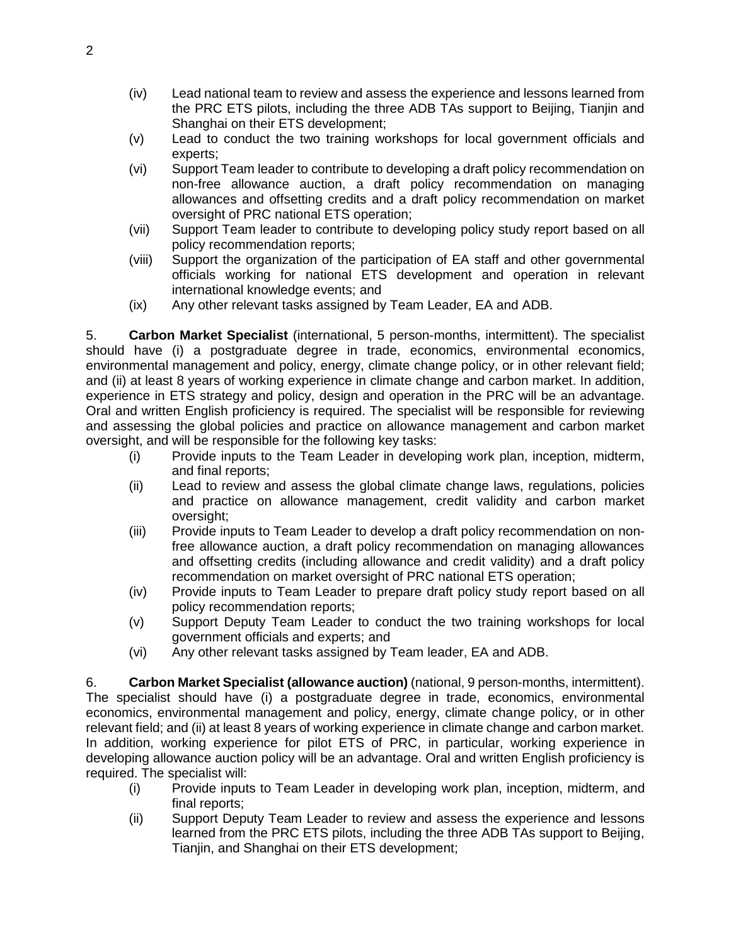- (iv) Lead national team to review and assess the experience and lessons learned from the PRC ETS pilots, including the three ADB TAs support to Beijing, Tianjin and Shanghai on their ETS development;
- (v) Lead to conduct the two training workshops for local government officials and experts;
- (vi) Support Team leader to contribute to developing a draft policy recommendation on non-free allowance auction, a draft policy recommendation on managing allowances and offsetting credits and a draft policy recommendation on market oversight of PRC national ETS operation;
- (vii) Support Team leader to contribute to developing policy study report based on all policy recommendation reports;
- (viii) Support the organization of the participation of EA staff and other governmental officials working for national ETS development and operation in relevant international knowledge events; and
- (ix) Any other relevant tasks assigned by Team Leader, EA and ADB.

5. **Carbon Market Specialist** (international, 5 person-months, intermittent). The specialist should have (i) a postgraduate degree in trade, economics, environmental economics, environmental management and policy, energy, climate change policy, or in other relevant field; and (ii) at least 8 years of working experience in climate change and carbon market. In addition, experience in ETS strategy and policy, design and operation in the PRC will be an advantage. Oral and written English proficiency is required. The specialist will be responsible for reviewing and assessing the global policies and practice on allowance management and carbon market oversight, and will be responsible for the following key tasks:

- (i) Provide inputs to the Team Leader in developing work plan, inception, midterm, and final reports;
- (ii) Lead to review and assess the global climate change laws, regulations, policies and practice on allowance management, credit validity and carbon market oversight;
- (iii) Provide inputs to Team Leader to develop a draft policy recommendation on nonfree allowance auction, a draft policy recommendation on managing allowances and offsetting credits (including allowance and credit validity) and a draft policy recommendation on market oversight of PRC national ETS operation;
- (iv) Provide inputs to Team Leader to prepare draft policy study report based on all policy recommendation reports;
- (v) Support Deputy Team Leader to conduct the two training workshops for local government officials and experts; and
- (vi) Any other relevant tasks assigned by Team leader, EA and ADB.

6. **Carbon Market Specialist (allowance auction)** (national, 9 person-months, intermittent). The specialist should have (i) a postgraduate degree in trade, economics, environmental economics, environmental management and policy, energy, climate change policy, or in other relevant field; and (ii) at least 8 years of working experience in climate change and carbon market. In addition, working experience for pilot ETS of PRC, in particular, working experience in developing allowance auction policy will be an advantage. Oral and written English proficiency is required. The specialist will:

- (i) Provide inputs to Team Leader in developing work plan, inception, midterm, and final reports;
- (ii) Support Deputy Team Leader to review and assess the experience and lessons learned from the PRC ETS pilots, including the three ADB TAs support to Beijing, Tianjin, and Shanghai on their ETS development;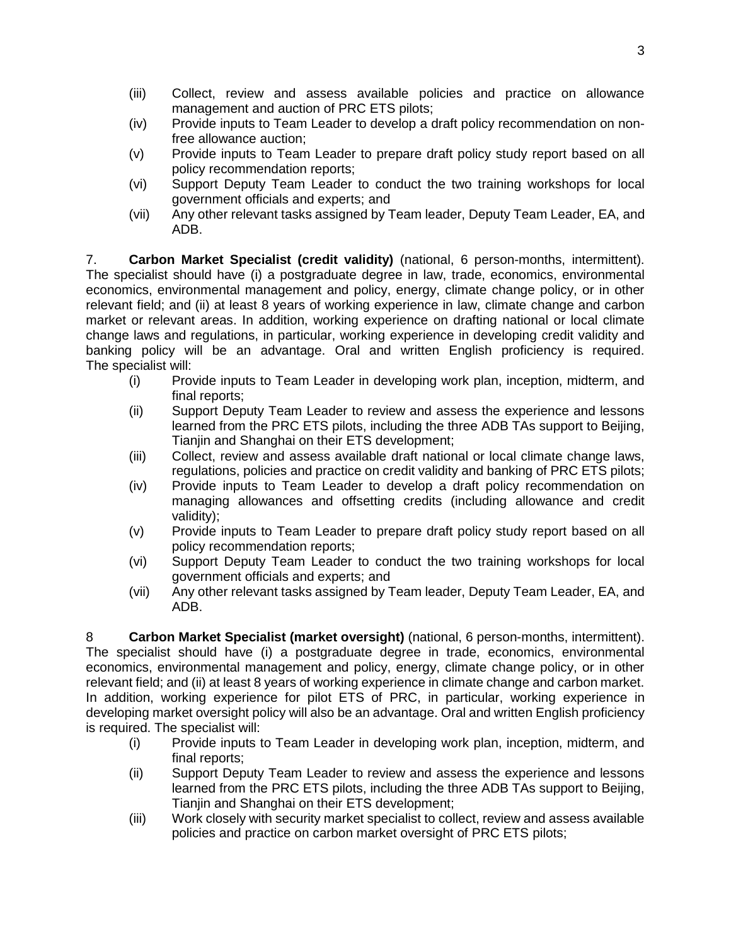- (iii) Collect, review and assess available policies and practice on allowance management and auction of PRC ETS pilots;
- (iv) Provide inputs to Team Leader to develop a draft policy recommendation on nonfree allowance auction;
- (v) Provide inputs to Team Leader to prepare draft policy study report based on all policy recommendation reports;
- (vi) Support Deputy Team Leader to conduct the two training workshops for local government officials and experts; and
- (vii) Any other relevant tasks assigned by Team leader, Deputy Team Leader, EA, and ADB.

7. **Carbon Market Specialist (credit validity)** (national, 6 person-months, intermittent). The specialist should have (i) a postgraduate degree in law, trade, economics, environmental economics, environmental management and policy, energy, climate change policy, or in other relevant field; and (ii) at least 8 years of working experience in law, climate change and carbon market or relevant areas. In addition, working experience on drafting national or local climate change laws and regulations, in particular, working experience in developing credit validity and banking policy will be an advantage. Oral and written English proficiency is required. The specialist will:

- (i) Provide inputs to Team Leader in developing work plan, inception, midterm, and final reports;
- (ii) Support Deputy Team Leader to review and assess the experience and lessons learned from the PRC ETS pilots, including the three ADB TAs support to Beijing, Tianjin and Shanghai on their ETS development;
- (iii) Collect, review and assess available draft national or local climate change laws, regulations, policies and practice on credit validity and banking of PRC ETS pilots;
- (iv) Provide inputs to Team Leader to develop a draft policy recommendation on managing allowances and offsetting credits (including allowance and credit validity);
- (v) Provide inputs to Team Leader to prepare draft policy study report based on all policy recommendation reports;
- (vi) Support Deputy Team Leader to conduct the two training workshops for local government officials and experts; and
- (vii) Any other relevant tasks assigned by Team leader, Deputy Team Leader, EA, and ADB.

8 **Carbon Market Specialist (market oversight)** (national, 6 person-months, intermittent). The specialist should have (i) a postgraduate degree in trade, economics, environmental economics, environmental management and policy, energy, climate change policy, or in other relevant field; and (ii) at least 8 years of working experience in climate change and carbon market. In addition, working experience for pilot ETS of PRC, in particular, working experience in developing market oversight policy will also be an advantage. Oral and written English proficiency is required. The specialist will:

- (i) Provide inputs to Team Leader in developing work plan, inception, midterm, and final reports;
- (ii) Support Deputy Team Leader to review and assess the experience and lessons learned from the PRC ETS pilots, including the three ADB TAs support to Beijing, Tianjin and Shanghai on their ETS development;
- (iii) Work closely with security market specialist to collect, review and assess available policies and practice on carbon market oversight of PRC ETS pilots;